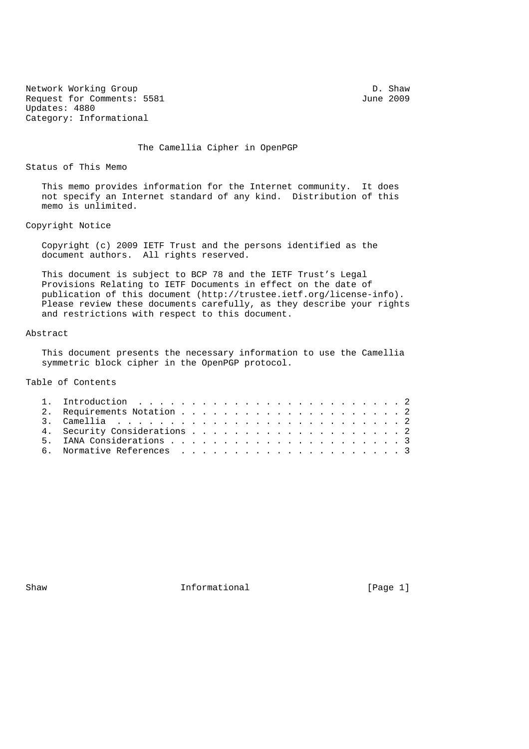Network Working Group Development of the D. Shaw D. Shaw D. Shaw D. Shaw D. Shaw D. Shaw D. Shaw D. Shaw D. Shaw D. Shaw D. Shaw D. Shaw D. Shaw D. Shaw D. Shaw D. Shaw D. Shaw D. Shaw D. Shaw D. Shaw D. Shaw D. Shaw D. Sh Request for Comments: 5581 Updates: 4880 Category: Informational

The Camellia Cipher in OpenPGP

Status of This Memo

 This memo provides information for the Internet community. It does not specify an Internet standard of any kind. Distribution of this memo is unlimited.

Copyright Notice

 Copyright (c) 2009 IETF Trust and the persons identified as the document authors. All rights reserved.

 This document is subject to BCP 78 and the IETF Trust's Legal Provisions Relating to IETF Documents in effect on the date of publication of this document (http://trustee.ietf.org/license-info). Please review these documents carefully, as they describe your rights and restrictions with respect to this document.

## Abstract

 This document presents the necessary information to use the Camellia symmetric block cipher in the OpenPGP protocol.

Table of Contents

Shaw **Informational Informational** [Page 1]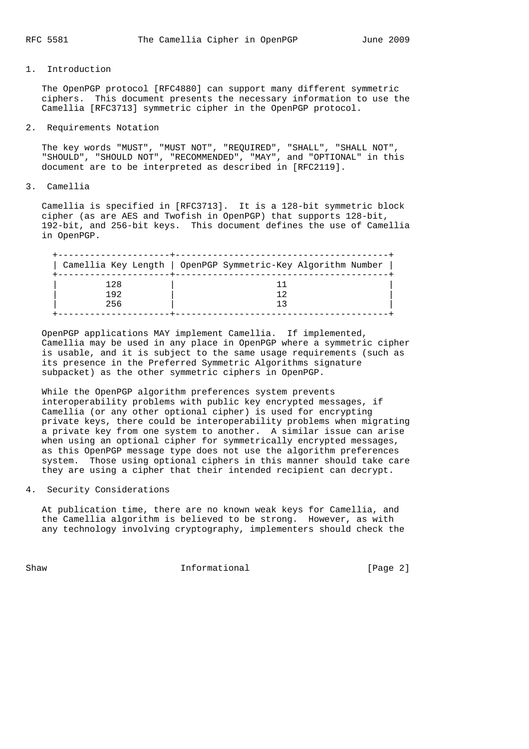## 1. Introduction

 The OpenPGP protocol [RFC4880] can support many different symmetric ciphers. This document presents the necessary information to use the Camellia [RFC3713] symmetric cipher in the OpenPGP protocol.

2. Requirements Notation

 The key words "MUST", "MUST NOT", "REQUIRED", "SHALL", "SHALL NOT", "SHOULD", "SHOULD NOT", "RECOMMENDED", "MAY", and "OPTIONAL" in this document are to be interpreted as described in [RFC2119].

3. Camellia

 Camellia is specified in [RFC3713]. It is a 128-bit symmetric block cipher (as are AES and Twofish in OpenPGP) that supports 128-bit, 192-bit, and 256-bit keys. This document defines the use of Camellia in OpenPGP.

|     | Camellia Key Length   OpenPGP Symmetric-Key Algorithm Number |
|-----|--------------------------------------------------------------|
| 128 |                                                              |
| 192 |                                                              |
| 256 |                                                              |

 OpenPGP applications MAY implement Camellia. If implemented, Camellia may be used in any place in OpenPGP where a symmetric cipher is usable, and it is subject to the same usage requirements (such as its presence in the Preferred Symmetric Algorithms signature subpacket) as the other symmetric ciphers in OpenPGP.

 While the OpenPGP algorithm preferences system prevents interoperability problems with public key encrypted messages, if Camellia (or any other optional cipher) is used for encrypting private keys, there could be interoperability problems when migrating a private key from one system to another. A similar issue can arise when using an optional cipher for symmetrically encrypted messages, as this OpenPGP message type does not use the algorithm preferences system. Those using optional ciphers in this manner should take care they are using a cipher that their intended recipient can decrypt.

4. Security Considerations

 At publication time, there are no known weak keys for Camellia, and the Camellia algorithm is believed to be strong. However, as with any technology involving cryptography, implementers should check the

Shaw **Informational Informational** [Page 2]